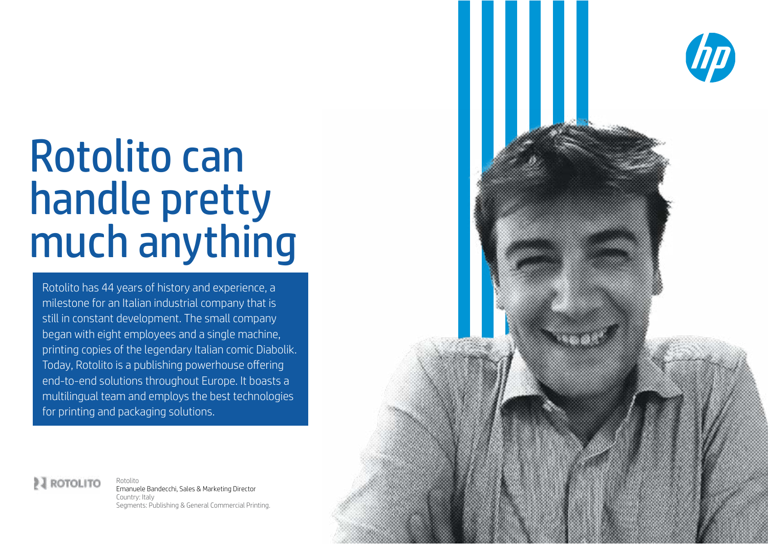# Rotolito can handle pretty much anything

Rotolito has 44 years of history and experience, a milestone for an Italian industrial company that is still in constant development. The small company began with eight employees and a single machine, printing copies of the legendary Italian comic Diabolik. Today, Rotolito is a publishing powerhouse offering end-to-end solutions throughout Europe. It boasts a multilingual team and employs the best technologies for printing and packaging solutions.



2 ROTOLITO Rotolito Emanuele Bandecchi, Sales & Marketing Director Country: Italy Segments: Publishing & General Commercial Printing.